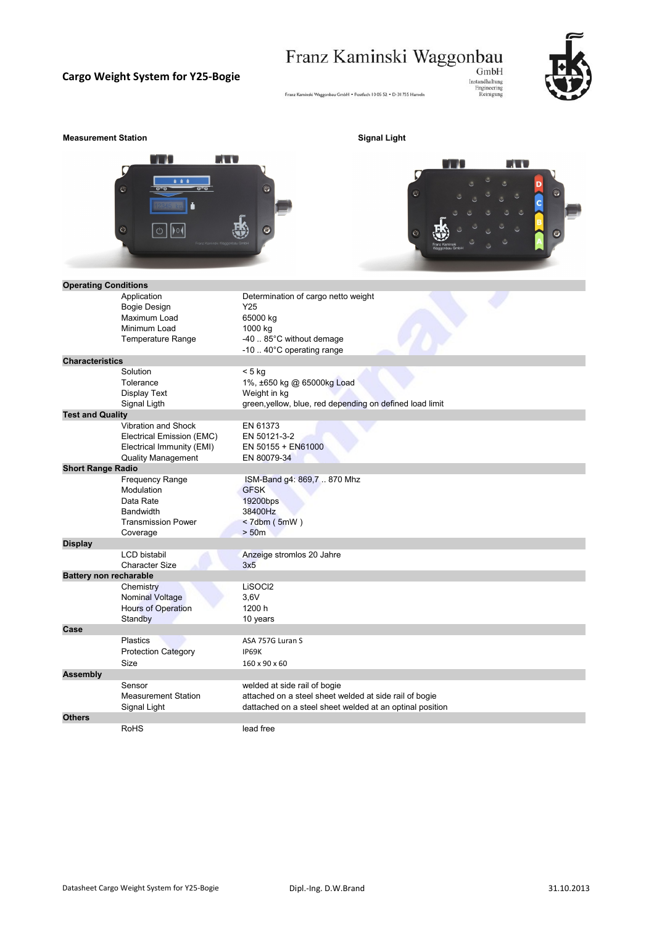# $\begin{minipage}{0.9\linewidth} \textbf{Franz Kaminski Waggonbau}_{GmbH} \textbf{GmbH}_{\text{Instandard}} \textbf{Waggonbaum}_{\text{Instandard}} \end{minipage}$

### **Cargo Weight System for Y25-Bogie**



#### **Measurement Station Signal Light Signal Light**





| <b>Operating Conditions</b>   |                            |                                                          |  |
|-------------------------------|----------------------------|----------------------------------------------------------|--|
|                               | Application                | Determination of cargo netto weight                      |  |
|                               | <b>Bogie Design</b>        | Y25                                                      |  |
|                               | Maximum Load               | 65000 kg                                                 |  |
|                               | Minimum Load               | 1000 kg                                                  |  |
|                               | Temperature Range          | -40  85°C without demage                                 |  |
|                               |                            | -10  40°C operating range                                |  |
| <b>Characteristics</b>        |                            |                                                          |  |
|                               | Solution                   | $< 5$ kg                                                 |  |
|                               | Tolerance                  | 1%, ±650 kg @ 65000kg Load                               |  |
|                               | Display Text               | Weight in kg                                             |  |
|                               | Signal Ligth               | green, yellow, blue, red depending on defined load limit |  |
| <b>Test and Quality</b>       |                            |                                                          |  |
|                               | Vibration and Shock        | EN 61373                                                 |  |
|                               | Electrical Emission (EMC)  | EN 50121-3-2                                             |  |
|                               | Electrical Immunity (EMI)  | EN 50155 + EN61000                                       |  |
|                               | <b>Quality Management</b>  | EN 80079-34                                              |  |
| <b>Short Range Radio</b>      |                            |                                                          |  |
|                               | <b>Frequency Range</b>     | ISM-Band g4: 869,7  870 Mhz                              |  |
|                               | Modulation                 | <b>GFSK</b>                                              |  |
|                               | Data Rate                  | 19200bps                                                 |  |
|                               | <b>Bandwidth</b>           | 38400Hz                                                  |  |
|                               | <b>Transmission Power</b>  | $< 7$ dbm ( $5$ mW)                                      |  |
|                               | Coverage                   | > 50m                                                    |  |
| <b>Display</b>                |                            |                                                          |  |
|                               | <b>LCD</b> bistabil        | Anzeige stromlos 20 Jahre                                |  |
|                               | <b>Character Size</b>      | 3x5                                                      |  |
| <b>Battery non recharable</b> |                            |                                                          |  |
|                               | Chemistry                  | LiSOCI2                                                  |  |
|                               | <b>Nominal Voltage</b>     | 3.6V                                                     |  |
|                               | Hours of Operation         | 1200 h                                                   |  |
|                               | Standby                    | 10 years                                                 |  |
| Case                          |                            |                                                          |  |
|                               | <b>Plastics</b>            | ASA 757G Luran S                                         |  |
|                               | <b>Protection Category</b> | <b>IP69K</b>                                             |  |
|                               | Size                       | 160 x 90 x 60                                            |  |
| <b>Assembly</b>               |                            |                                                          |  |
|                               | Sensor                     | welded at side rail of bogie                             |  |
|                               | <b>Measurement Station</b> | attached on a steel sheet welded at side rail of bogie   |  |
|                               | Signal Light               | dattached on a steel sheet welded at an optinal position |  |
| <b>Others</b>                 |                            |                                                          |  |
|                               | <b>RoHS</b>                | lead free                                                |  |